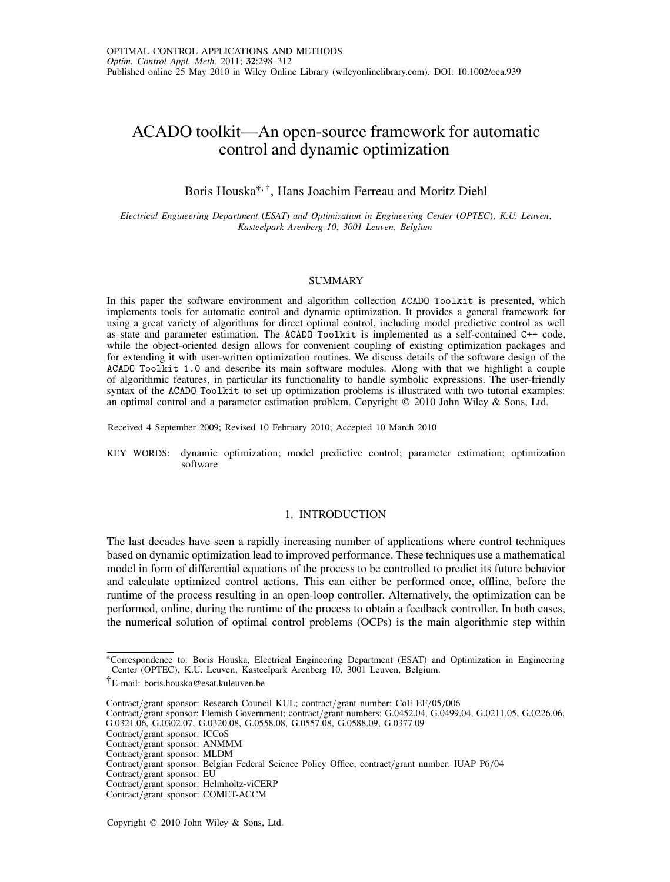# ACADO toolkit—An open-source framework for automatic control and dynamic optimization

Boris Houska∗,†, Hans Joachim Ferreau and Moritz Diehl

*Electrical Engineering Department* (*ESAT*) *and Optimization in Engineering Center* (*OPTEC*), *K.U. Leuven*, *Kasteelpark Arenberg 10*, *3001 Leuven*, *Belgium*

#### **SUMMARY**

In this paper the software environment and algorithm collection ACADO Toolkit is presented, which implements tools for automatic control and dynamic optimization. It provides a general framework for using a great variety of algorithms for direct optimal control, including model predictive control as well as state and parameter estimation. The ACADO Toolkit is implemented as a self-contained C++ code, while the object-oriented design allows for convenient coupling of existing optimization packages and for extending it with user-written optimization routines. We discuss details of the software design of the ACADO Toolkit 1.0 and describe its main software modules. Along with that we highlight a couple of algorithmic features, in particular its functionality to handle symbolic expressions. The user-friendly syntax of the ACADO Toolkit to set up optimization problems is illustrated with two tutorial examples: an optimal control and a parameter estimation problem. Copyright  $© 2010$  John Wiley & Sons, Ltd.

Received 4 September 2009; Revised 10 February 2010; Accepted 10 March 2010

KEY WORDS: dynamic optimization; model predictive control; parameter estimation; optimization software

# 1. INTRODUCTION

The last decades have seen a rapidly increasing number of applications where control techniques based on dynamic optimization lead to improved performance. These techniques use a mathematical model in form of differential equations of the process to be controlled to predict its future behavior and calculate optimized control actions. This can either be performed once, offline, before the runtime of the process resulting in an open-loop controller. Alternatively, the optimization can be performed, online, during the runtime of the process to obtain a feedback controller. In both cases, the numerical solution of optimal control problems (OCPs) is the main algorithmic step within

<sup>∗</sup>Correspondence to: Boris Houska, Electrical Engineering Department (ESAT) and Optimization in Engineering Center (OPTEC), K.U. Leuven, Kasteelpark Arenberg 10, 3001 Leuven, Belgium.

<sup>†</sup>E-mail: boris.houska@esat.kuleuven.be

Contract/grant sponsor: Research Council KUL; contract/grant number: CoE EF/05/006

Contract/grant sponsor: Flemish Government; contract/grant numbers: G.0452.04, G.0499.04, G.0211.05, G.0226.06,

G.0321.06, G.0302.07, G.0320.08, G.0558.08, G.0557.08, G.0588.09, G.0377.09

Contract/grant sponsor: ICCoS

Contract/grant sponsor: ANMMM

Contract/grant sponsor: MLDM

Contract/grant sponsor: Belgian Federal Science Policy Office; contract/grant number: IUAP P6/04

Contract/grant sponsor: EU

Contract/grant sponsor: Helmholtz-viCERP

Contract/grant sponsor: COMET-ACCM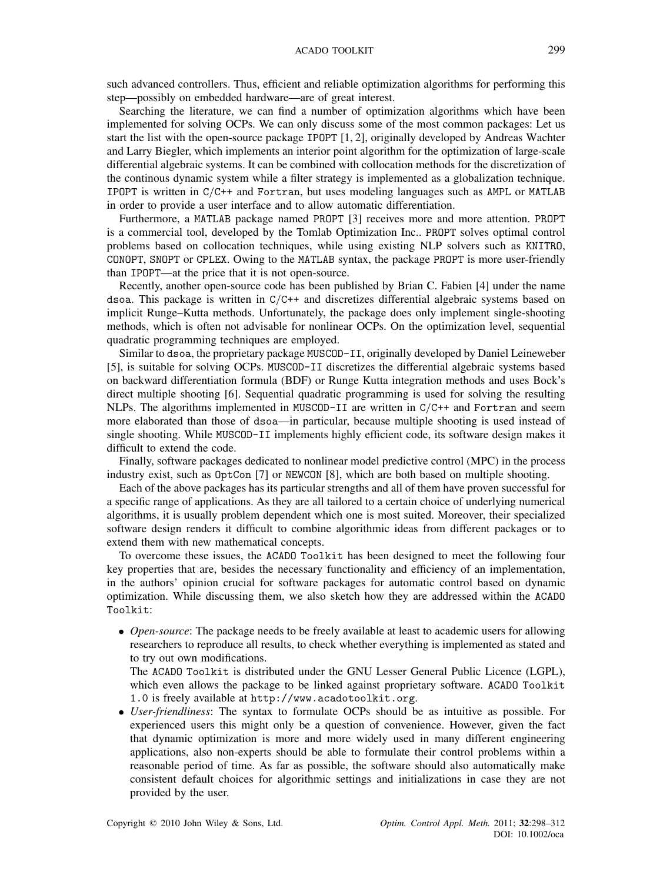such advanced controllers. Thus, efficient and reliable optimization algorithms for performing this step—possibly on embedded hardware—are of great interest.

Searching the literature, we can find a number of optimization algorithms which have been implemented for solving OCPs. We can only discuss some of the most common packages: Let us start the list with the open-source package IPOPT [1, 2], originally developed by Andreas Wachter and Larry Biegler, which implements an interior point algorithm for the optimization of large-scale differential algebraic systems. It can be combined with collocation methods for the discretization of the continous dynamic system while a filter strategy is implemented as a globalization technique. IPOPT is written in C/C++ and Fortran, but uses modeling languages such as AMPL or MATLAB in order to provide a user interface and to allow automatic differentiation.

Furthermore, a MATLAB package named PROPT [3] receives more and more attention. PROPT is a commercial tool, developed by the Tomlab Optimization Inc.. PROPT solves optimal control problems based on collocation techniques, while using existing NLP solvers such as KNITRO, CONOPT, SNOPT or CPLEX. Owing to the MATLAB syntax, the package PROPT is more user-friendly than IPOPT—at the price that it is not open-source.

Recently, another open-source code has been published by Brian C. Fabien [4] under the name dsoa. This package is written in  $C/C++$  and discretizes differential algebraic systems based on implicit Runge–Kutta methods. Unfortunately, the package does only implement single-shooting methods, which is often not advisable for nonlinear OCPs. On the optimization level, sequential quadratic programming techniques are employed.

Similar to dsoa, the proprietary package MUSCOD-II, originally developed by Daniel Leineweber [5], is suitable for solving OCPs. MUSCOD-II discretizes the differential algebraic systems based on backward differentiation formula (BDF) or Runge Kutta integration methods and uses Bock's direct multiple shooting [6]. Sequential quadratic programming is used for solving the resulting NLPs. The algorithms implemented in MUSCOD-II are written in C/C++ and Fortran and seem more elaborated than those of dsoa—in particular, because multiple shooting is used instead of single shooting. While MUSCOD-II implements highly efficient code, its software design makes it difficult to extend the code.

Finally, software packages dedicated to nonlinear model predictive control (MPC) in the process industry exist, such as OptCon [7] or NEWCON [8], which are both based on multiple shooting.

Each of the above packages has its particular strengths and all of them have proven successful for a specific range of applications. As they are all tailored to a certain choice of underlying numerical algorithms, it is usually problem dependent which one is most suited. Moreover, their specialized software design renders it difficult to combine algorithmic ideas from different packages or to extend them with new mathematical concepts.

To overcome these issues, the ACADO Toolkit has been designed to meet the following four key properties that are, besides the necessary functionality and efficiency of an implementation, in the authors' opinion crucial for software packages for automatic control based on dynamic optimization. While discussing them, we also sketch how they are addressed within the ACADO Toolkit:

• *Open-source*: The package needs to be freely available at least to academic users for allowing researchers to reproduce all results, to check whether everything is implemented as stated and to try out own modifications.

The ACADO Toolkit is distributed under the GNU Lesser General Public Licence (LGPL), which even allows the package to be linked against proprietary software. ACADO Toolkit 1.0 is freely available at http://www.acadotoolkit.org.

• *User-friendliness*: The syntax to formulate OCPs should be as intuitive as possible. For experienced users this might only be a question of convenience. However, given the fact that dynamic optimization is more and more widely used in many different engineering applications, also non-experts should be able to formulate their control problems within a reasonable period of time. As far as possible, the software should also automatically make consistent default choices for algorithmic settings and initializations in case they are not provided by the user.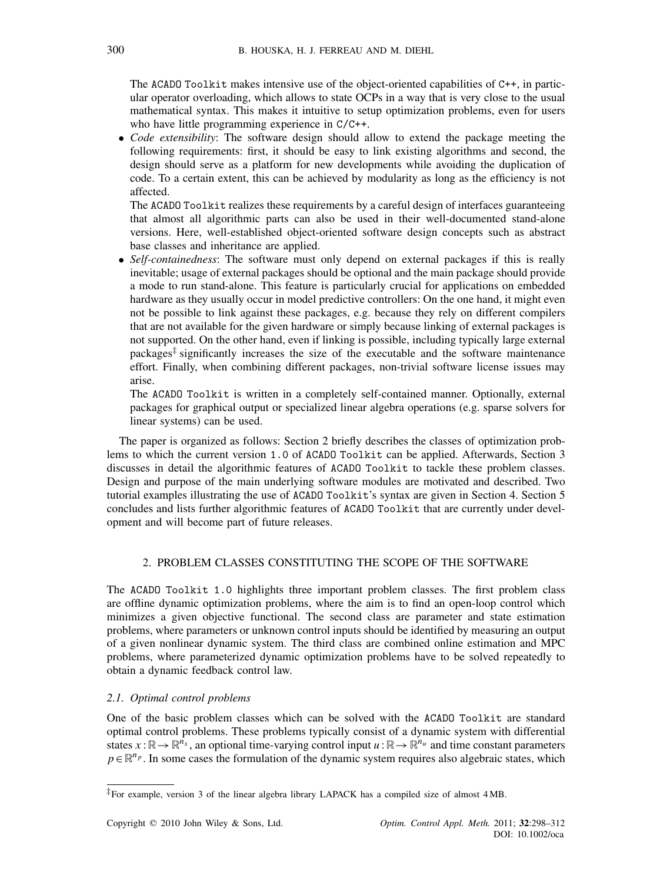The ACADO Toolkit makes intensive use of the object-oriented capabilities of C++, in particular operator overloading, which allows to state OCPs in a way that is very close to the usual mathematical syntax. This makes it intuitive to setup optimization problems, even for users who have little programming experience in C/C++.

• *Code extensibility*: The software design should allow to extend the package meeting the following requirements: first, it should be easy to link existing algorithms and second, the design should serve as a platform for new developments while avoiding the duplication of code. To a certain extent, this can be achieved by modularity as long as the efficiency is not affected.

The ACADO Toolkit realizes these requirements by a careful design of interfaces guaranteeing that almost all algorithmic parts can also be used in their well-documented stand-alone versions. Here, well-established object-oriented software design concepts such as abstract base classes and inheritance are applied.

• *Self-containedness*: The software must only depend on external packages if this is really inevitable; usage of external packages should be optional and the main package should provide a mode to run stand-alone. This feature is particularly crucial for applications on embedded hardware as they usually occur in model predictive controllers: On the one hand, it might even not be possible to link against these packages, e.g. because they rely on different compilers that are not available for the given hardware or simply because linking of external packages is not supported. On the other hand, even if linking is possible, including typically large external packages $\frac{3}{2}$  significantly increases the size of the executable and the software maintenance effort. Finally, when combining different packages, non-trivial software license issues may arise.

The ACADO Toolkit is written in a completely self-contained manner. Optionally, external packages for graphical output or specialized linear algebra operations (e.g. sparse solvers for linear systems) can be used.

The paper is organized as follows: Section 2 briefly describes the classes of optimization problems to which the current version 1.0 of ACADO Toolkit can be applied. Afterwards, Section 3 discusses in detail the algorithmic features of ACADO Toolkit to tackle these problem classes. Design and purpose of the main underlying software modules are motivated and described. Two tutorial examples illustrating the use of ACADO Toolkit's syntax are given in Section 4. Section 5 concludes and lists further algorithmic features of ACADO Toolkit that are currently under development and will become part of future releases.

# 2. PROBLEM CLASSES CONSTITUTING THE SCOPE OF THE SOFTWARE

The ACADO Toolkit 1.0 highlights three important problem classes. The first problem class are offline dynamic optimization problems, where the aim is to find an open-loop control which minimizes a given objective functional. The second class are parameter and state estimation problems, where parameters or unknown control inputs should be identified by measuring an output of a given nonlinear dynamic system. The third class are combined online estimation and MPC problems, where parameterized dynamic optimization problems have to be solved repeatedly to obtain a dynamic feedback control law.

# *2.1. Optimal control problems*

One of the basic problem classes which can be solved with the ACADO Toolkit are standard optimal control problems. These problems typically consist of a dynamic system with differential states  $x : \mathbb{R} \to \mathbb{R}^{n_x}$ , an optional time-varying control input  $u : \mathbb{R} \to \mathbb{R}^{n_u}$  and time constant parameters  $p \in \mathbb{R}^{n_p}$ . In some cases the formulation of the dynamic system requires also algebraic states, which

<sup>‡</sup>For example, version 3 of the linear algebra library LAPACK has a compiled size of almost 4 MB.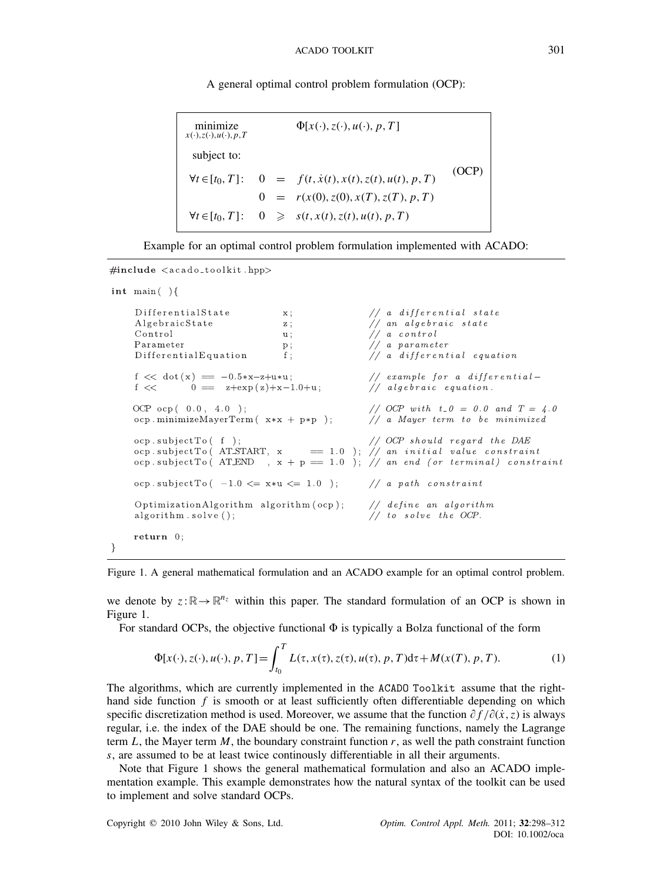A general optimal control problem formulation (OCP):

| minimize<br>$x(\cdot), z(\cdot), u(\cdot), p, T$ |  | $\Phi[x(\cdot), z(\cdot), u(\cdot), p, T]$                                               |       |
|--------------------------------------------------|--|------------------------------------------------------------------------------------------|-------|
| subject to:                                      |  |                                                                                          |       |
|                                                  |  | $\forall t \in [t_0, T]: \quad 0 \quad = \quad f(t, \dot{x}(t), x(t), z(t), u(t), p, T)$ | (OCP) |
|                                                  |  | $0 = r(x(0), z(0), x(T), z(T), p, T)$                                                    |       |
|                                                  |  | $\forall t \in [t_0, T]: \quad 0 \geq s(t, x(t), z(t), u(t), p, T)$                      |       |



#include <acado\_toolkit.hpp>

 $\}$ 

```
int main(\rightarrow{
                                                                                       \begin{array}{l} //\ \ a\ \ differential\ state \\ //\ \ an\ \ algebraic\ state \\ //\ \ a\ \ contract \ \\ //\ \ a\ \ parameter \\ \end{array}Differential StateX:
        AlgebraicState
                                                          Z:
       Control
                                                          u;Parameter
                                                          p:
                                                                                       \frac{1}{2} a differential equation
       DifferentialEquation
                                                           f:
                                                                                       // example for a differential-<br>// algebraic equation.
       f \ll \det(x) = -0.5*x - z + u * u;
       f \ll 0 = z + \exp(z) + x - 1.0 + u;// OCP with t = 0 = 0.0 and T = 4.0OCP ocp(0.0, 4.0);
       ocp. minimizeMayerTerm(x*x + p*p);
                                                                                       // a Mayer term to be minimized
       ocp.subjectTo(f);<br>
\begin{array}{ll}\n\text{ocp.subjectTo} & \text{if } \\
\text{ocp.subjectTo} & \text{ATSTART}, \\
\text{x} & = 1.0 \\
\text{ocp.subjectTo} & \text{ATEND} \\
\text{x + p = 1.0} & \text{if } \\
\text{if } \\
\text{if } \\
\text{if } \\
\text{if } \\
\text{if } \\
\text{if } \\
\text{if } \\
\text{if } \\
\text{if } \\
\text{if } \\
\text{if } \\
\text{if } \\
\text{if } \\
\text{if } \\
\text{if } \\
\text{if } \\
\text{if } \\
\text{if } \\
\text{if }ocp.subjectTo(-1.0 \le x \times u \le 1.0);
                                                                                        // a path constant// define an algorithmOptimizationAlgorithm algorithm (ocp);
                                                                                        \frac{1}{\sqrt{1}} to solve the OCP.
       algorithm.solve();return 0;
```
Figure 1. A general mathematical formulation and an ACADO example for an optimal control problem.

we denote by  $z:\mathbb{R}\to\mathbb{R}^{n_z}$  within this paper. The standard formulation of an OCP is shown in Figure 1.

For standard OCPs, the objective functional  $\Phi$  is typically a Bolza functional of the form

$$
\Phi[x(\cdot), z(\cdot), u(\cdot), p, T] = \int_{t_0}^{T} L(\tau, x(\tau), z(\tau), u(\tau), p, T) d\tau + M(x(T), p, T). \tag{1}
$$

The algorithms, which are currently implemented in the ACADO Toolkit assume that the righthand side function *f* is smooth or at least sufficiently often differentiable depending on which specific discretization method is used. Moreover, we assume that the function  $\partial f / \partial (x, z)$  is always regular, i.e. the index of the DAE should be one. The remaining functions, namely the Lagrange term *L*, the Mayer term *M*, the boundary constraint function *r*, as well the path constraint function *s*, are assumed to be at least twice continously differentiable in all their arguments.

Note that Figure 1 shows the general mathematical formulation and also an ACADO implementation example. This example demonstrates how the natural syntax of the toolkit can be used to implement and solve standard OCPs.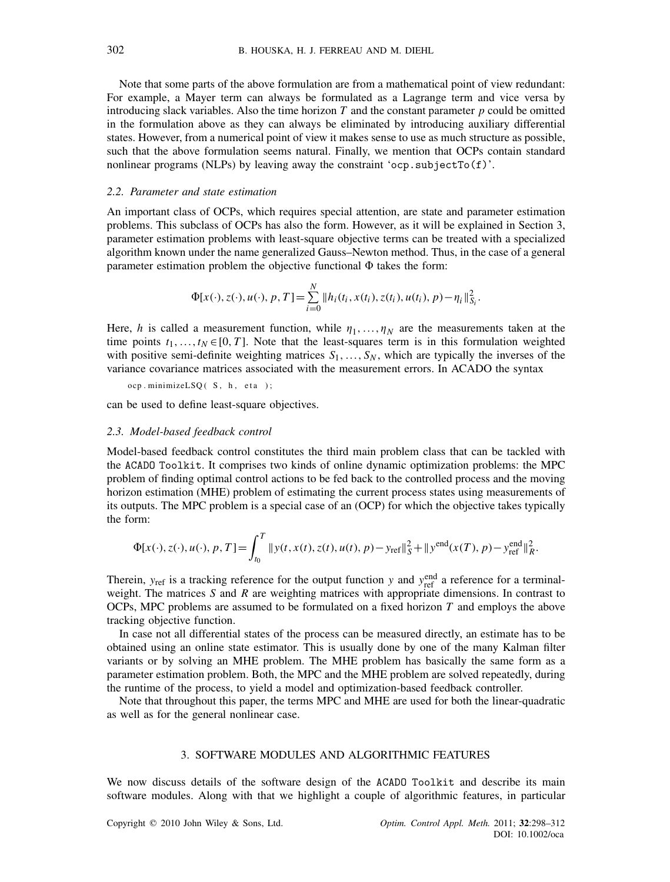Note that some parts of the above formulation are from a mathematical point of view redundant: For example, a Mayer term can always be formulated as a Lagrange term and vice versa by introducing slack variables. Also the time horizon  $T$  and the constant parameter  $p$  could be omitted in the formulation above as they can always be eliminated by introducing auxiliary differential states. However, from a numerical point of view it makes sense to use as much structure as possible, such that the above formulation seems natural. Finally, we mention that OCPs contain standard nonlinear programs (NLPs) by leaving away the constraint 'ocp.subjectTo(f)'.

# *2.2. Parameter and state estimation*

An important class of OCPs, which requires special attention, are state and parameter estimation problems. This subclass of OCPs has also the form. However, as it will be explained in Section 3, parameter estimation problems with least-square objective terms can be treated with a specialized algorithm known under the name generalized Gauss–Newton method. Thus, in the case of a general parameter estimation problem the objective functional  $\Phi$  takes the form:

$$
\Phi[x(\cdot), z(\cdot), u(\cdot), p, T] = \sum_{i=0}^{N} ||h_i(t_i, x(t_i), z(t_i), u(t_i), p) - \eta_i||_{S_i}^2.
$$

Here, *h* is called a measurement function, while  $\eta_1, \ldots, \eta_N$  are the measurements taken at the time points  $t_1, \ldots, t_N \in [0, T]$ . Note that the least-squares term is in this formulation weighted with positive semi-definite weighting matrices  $S_1, \ldots, S_N$ , which are typically the inverses of the variance covariance matrices associated with the measurement errors. In ACADO the syntax

ocp.minimizeLSQ(S, h, eta);

can be used to define least-square objectives.

#### *2.3. Model-based feedback control*

Model-based feedback control constitutes the third main problem class that can be tackled with the ACADO Toolkit. It comprises two kinds of online dynamic optimization problems: the MPC problem of finding optimal control actions to be fed back to the controlled process and the moving horizon estimation (MHE) problem of estimating the current process states using measurements of its outputs. The MPC problem is a special case of an (OCP) for which the objective takes typically the form:

$$
\Phi[x(\cdot), z(\cdot), u(\cdot), p, T] = \int_{t_0}^{T} ||y(t, x(t), z(t), u(t), p) - y_{ref}||_S^2 + ||y^{end}(x(T), p) - y_{ref}^{end}||_R^2.
$$

Therein,  $y_{ref}$  is a tracking reference for the output function  $y$  and  $y_{ref}^{end}$  a reference for a terminalweight. The matrices *S* and *R* are weighting matrices with appropriate dimensions. In contrast to OCPs, MPC problems are assumed to be formulated on a fixed horizon *T* and employs the above tracking objective function.

In case not all differential states of the process can be measured directly, an estimate has to be obtained using an online state estimator. This is usually done by one of the many Kalman filter variants or by solving an MHE problem. The MHE problem has basically the same form as a parameter estimation problem. Both, the MPC and the MHE problem are solved repeatedly, during the runtime of the process, to yield a model and optimization-based feedback controller.

Note that throughout this paper, the terms MPC and MHE are used for both the linear-quadratic as well as for the general nonlinear case.

# 3. SOFTWARE MODULES AND ALGORITHMIC FEATURES

We now discuss details of the software design of the ACADO Toolkit and describe its main software modules. Along with that we highlight a couple of algorithmic features, in particular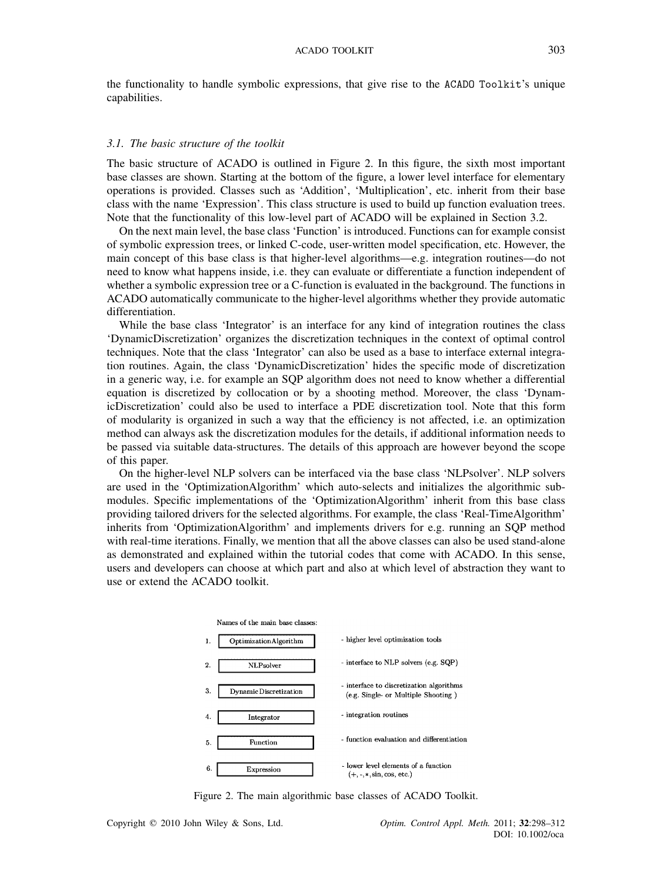the functionality to handle symbolic expressions, that give rise to the ACADO Toolkit's unique capabilities.

#### *3.1. The basic structure of the toolkit*

The basic structure of ACADO is outlined in Figure 2. In this figure, the sixth most important base classes are shown. Starting at the bottom of the figure, a lower level interface for elementary operations is provided. Classes such as 'Addition', 'Multiplication', etc. inherit from their base class with the name 'Expression'. This class structure is used to build up function evaluation trees. Note that the functionality of this low-level part of ACADO will be explained in Section 3.2.

On the next main level, the base class 'Function' is introduced. Functions can for example consist of symbolic expression trees, or linked C-code, user-written model specification, etc. However, the main concept of this base class is that higher-level algorithms—e.g. integration routines—do not need to know what happens inside, i.e. they can evaluate or differentiate a function independent of whether a symbolic expression tree or a C-function is evaluated in the background. The functions in ACADO automatically communicate to the higher-level algorithms whether they provide automatic differentiation.

While the base class 'Integrator' is an interface for any kind of integration routines the class 'DynamicDiscretization' organizes the discretization techniques in the context of optimal control techniques. Note that the class 'Integrator' can also be used as a base to interface external integration routines. Again, the class 'DynamicDiscretization' hides the specific mode of discretization in a generic way, i.e. for example an SQP algorithm does not need to know whether a differential equation is discretized by collocation or by a shooting method. Moreover, the class 'DynamicDiscretization' could also be used to interface a PDE discretization tool. Note that this form of modularity is organized in such a way that the efficiency is not affected, i.e. an optimization method can always ask the discretization modules for the details, if additional information needs to be passed via suitable data-structures. The details of this approach are however beyond the scope of this paper.

On the higher-level NLP solvers can be interfaced via the base class 'NLPsolver'. NLP solvers are used in the 'OptimizationAlgorithm' which auto-selects and initializes the algorithmic submodules. Specific implementations of the 'OptimizationAlgorithm' inherit from this base class providing tailored drivers for the selected algorithms. For example, the class 'Real-TimeAlgorithm' inherits from 'OptimizationAlgorithm' and implements drivers for e.g. running an SQP method with real-time iterations. Finally, we mention that all the above classes can also be used stand-alone as demonstrated and explained within the tutorial codes that come with ACADO. In this sense, users and developers can choose at which part and also at which level of abstraction they want to use or extend the ACADO toolkit.



Figure 2. The main algorithmic base classes of ACADO Toolkit.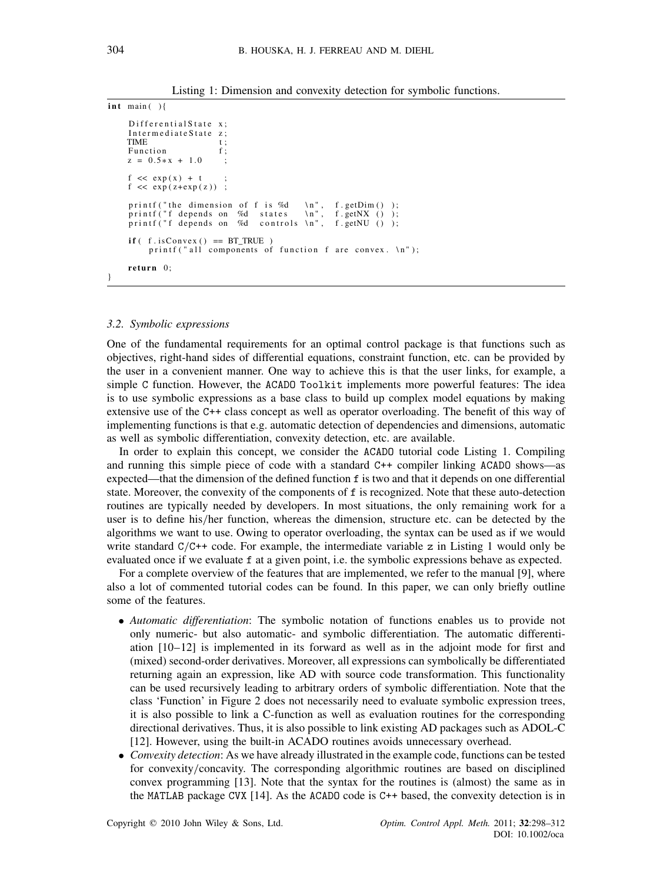Listing 1: Dimension and convexity detection for symbolic functions.

```
int main ( ){
     DifferentialState x;
     IntermediateState z;
     TIME t;<br>Function f:
     Function
     z = 0.5 * x + 1.0f \leq \exp(x) + tf \leq \exp(z + \exp(z));
     printf ("the dimension of f is %d \n", f.getDim () );<br>printf ("f depends on %d states \n", f.getNX () );
      printf ("f depends on  %d  states   \n",  f.getNX () );<br>printf ("f depends on  %d  controls \n",  f.getNU () );
     if ( f.isConvex () == BT_TRUE )printf ("all components of function f are convex. \ln");
     return 0:
}
```
#### *3.2. Symbolic expressions*

One of the fundamental requirements for an optimal control package is that functions such as objectives, right-hand sides of differential equations, constraint function, etc. can be provided by the user in a convenient manner. One way to achieve this is that the user links, for example, a simple C function. However, the ACADO Toolkit implements more powerful features: The idea is to use symbolic expressions as a base class to build up complex model equations by making extensive use of the C++ class concept as well as operator overloading. The benefit of this way of implementing functions is that e.g. automatic detection of dependencies and dimensions, automatic as well as symbolic differentiation, convexity detection, etc. are available.

In order to explain this concept, we consider the ACADO tutorial code Listing 1. Compiling and running this simple piece of code with a standard C++ compiler linking ACADO shows—as expected—that the dimension of the defined function f is two and that it depends on one differential state. Moreover, the convexity of the components of f is recognized. Note that these auto-detection routines are typically needed by developers. In most situations, the only remaining work for a user is to define his/her function, whereas the dimension, structure etc. can be detected by the algorithms we want to use. Owing to operator overloading, the syntax can be used as if we would write standard  $C/C++$  code. For example, the intermediate variable z in Listing 1 would only be evaluated once if we evaluate f at a given point, i.e. the symbolic expressions behave as expected.

For a complete overview of the features that are implemented, we refer to the manual [9], where also a lot of commented tutorial codes can be found. In this paper, we can only briefly outline some of the features.

- *Automatic differentiation*: The symbolic notation of functions enables us to provide not only numeric- but also automatic- and symbolic differentiation. The automatic differentiation [10–12] is implemented in its forward as well as in the adjoint mode for first and (mixed) second-order derivatives. Moreover, all expressions can symbolically be differentiated returning again an expression, like AD with source code transformation. This functionality can be used recursively leading to arbitrary orders of symbolic differentiation. Note that the class 'Function' in Figure 2 does not necessarily need to evaluate symbolic expression trees, it is also possible to link a C-function as well as evaluation routines for the corresponding directional derivatives. Thus, it is also possible to link existing AD packages such as ADOL-C [12]. However, using the built-in ACADO routines avoids unnecessary overhead.
- *Convexity detection*: As we have already illustrated in the example code, functions can be tested for convexity/concavity. The corresponding algorithmic routines are based on disciplined convex programming [13]. Note that the syntax for the routines is (almost) the same as in the MATLAB package CVX [14]. As the ACADO code is C++ based, the convexity detection is in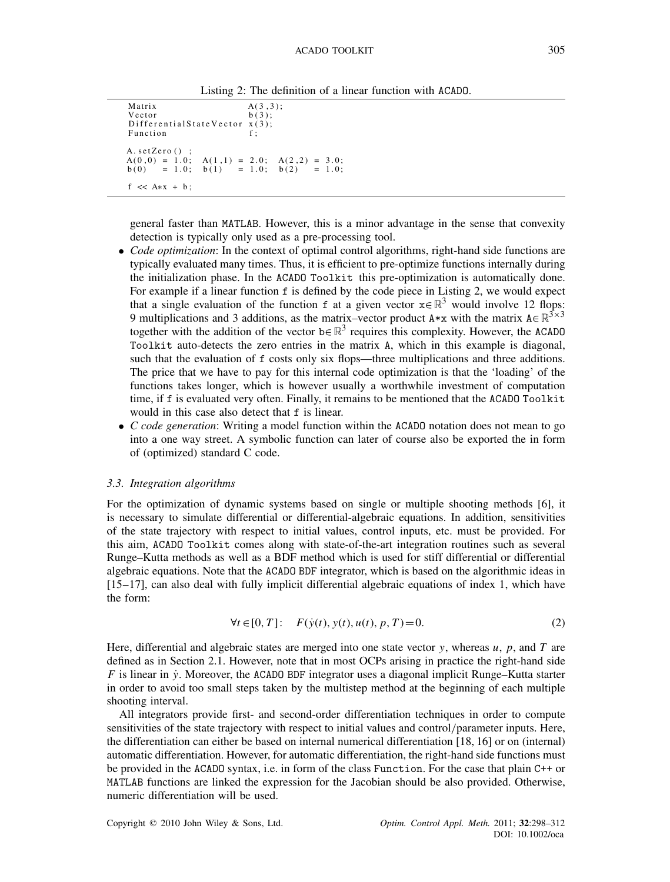Listing 2: The definition of a linear function with ACADO.

| Matrix<br>Vector<br>Differential State Vector $x(3)$ ;<br>Function                                              | $A(3,3)$ ;<br>$b(3)$ ;<br>$f \cdot$ |
|-----------------------------------------------------------------------------------------------------------------|-------------------------------------|
| $A. setZero()$ :<br>$A(0,0) = 1.0$ ; $A(1,1) = 2.0$ ; $A(2,2) = 3.0$ ;<br>$b(0) = 1.0; b(1) = 1.0; b(2) = 1.0;$ |                                     |
| $f \ll A*x + b$ ;                                                                                               |                                     |

general faster than MATLAB. However, this is a minor advantage in the sense that convexity detection is typically only used as a pre-processing tool.

- *Code optimization*: In the context of optimal control algorithms, right-hand side functions are typically evaluated many times. Thus, it is efficient to pre-optimize functions internally during the initialization phase. In the ACADO Toolkit this pre-optimization is automatically done. For example if a linear function f is defined by the code piece in Listing 2, we would expect that a single evaluation of the function f at a given vector  $x \in \mathbb{R}^3$  would involve 12 flops: 9 multiplications and 3 additions, as the matrix–vector product A\*x with the matrix A $\in \mathbb{R}^{3\times 3}$ together with the addition of the vector  $b \in \mathbb{R}^3$  requires this complexity. However, the ACADO Toolkit auto-detects the zero entries in the matrix A, which in this example is diagonal, such that the evaluation of f costs only six flops—three multiplications and three additions. The price that we have to pay for this internal code optimization is that the 'loading' of the functions takes longer, which is however usually a worthwhile investment of computation time, if f is evaluated very often. Finally, it remains to be mentioned that the ACADO Toolkit would in this case also detect that f is linear.
- *C code generation*: Writing a model function within the ACADO notation does not mean to go into a one way street. A symbolic function can later of course also be exported the in form of (optimized) standard C code.

#### *3.3. Integration algorithms*

For the optimization of dynamic systems based on single or multiple shooting methods [6], it is necessary to simulate differential or differential-algebraic equations. In addition, sensitivities of the state trajectory with respect to initial values, control inputs, etc. must be provided. For this aim, ACADO Toolkit comes along with state-of-the-art integration routines such as several Runge–Kutta methods as well as a BDF method which is used for stiff differential or differential algebraic equations. Note that the ACADO BDF integrator, which is based on the algorithmic ideas in [15–17], can also deal with fully implicit differential algebraic equations of index 1, which have the form:

$$
\forall t \in [0, T]: \quad F(\dot{y}(t), y(t), u(t), p, T) = 0. \tag{2}
$$

Here, differential and algebraic states are merged into one state vector *y*, whereas *u*, *p*, and *T* are defined as in Section 2.1. However, note that in most OCPs arising in practice the right-hand side *F* is linear in *y*˙. Moreover, the ACADO BDF integrator uses a diagonal implicit Runge–Kutta starter in order to avoid too small steps taken by the multistep method at the beginning of each multiple shooting interval.

All integrators provide first- and second-order differentiation techniques in order to compute sensitivities of the state trajectory with respect to initial values and control/parameter inputs. Here, the differentiation can either be based on internal numerical differentiation [18, 16] or on (internal) automatic differentiation. However, for automatic differentiation, the right-hand side functions must be provided in the ACADO syntax, i.e. in form of the class Function. For the case that plain C++ or MATLAB functions are linked the expression for the Jacobian should be also provided. Otherwise, numeric differentiation will be used.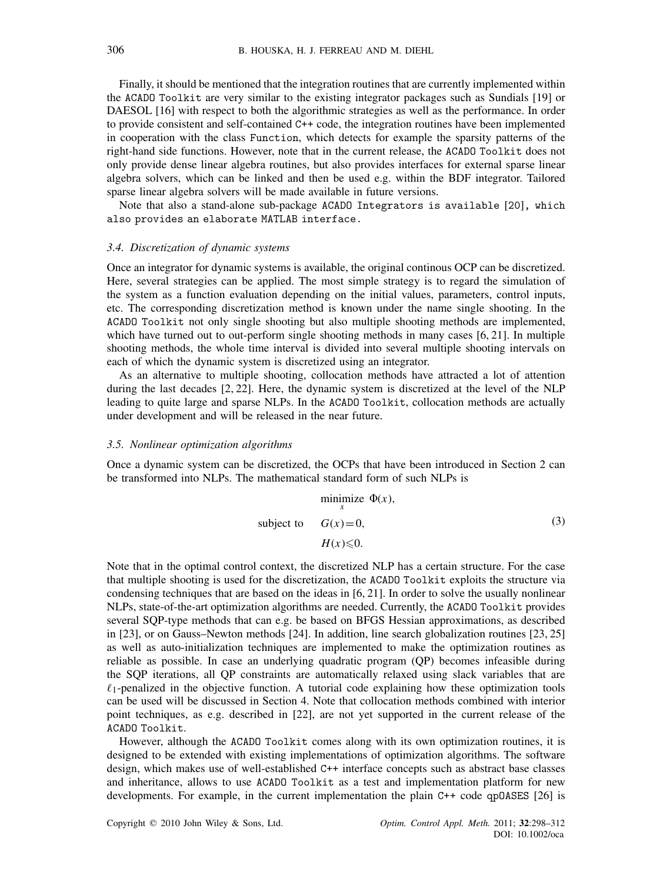Finally, it should be mentioned that the integration routines that are currently implemented within the ACADO Toolkit are very similar to the existing integrator packages such as Sundials [19] or DAESOL [16] with respect to both the algorithmic strategies as well as the performance. In order to provide consistent and self-contained C++ code, the integration routines have been implemented in cooperation with the class Function, which detects for example the sparsity patterns of the right-hand side functions. However, note that in the current release, the ACADO Toolkit does not only provide dense linear algebra routines, but also provides interfaces for external sparse linear algebra solvers, which can be linked and then be used e.g. within the BDF integrator. Tailored sparse linear algebra solvers will be made available in future versions.

Note that also a stand-alone sub-package ACADO Integrators is available [20], which also provides an elaborate MATLAB interface.

#### *3.4. Discretization of dynamic systems*

Once an integrator for dynamic systems is available, the original continous OCP can be discretized. Here, several strategies can be applied. The most simple strategy is to regard the simulation of the system as a function evaluation depending on the initial values, parameters, control inputs, etc. The corresponding discretization method is known under the name single shooting. In the ACADO Toolkit not only single shooting but also multiple shooting methods are implemented, which have turned out to out-perform single shooting methods in many cases [6, 21]. In multiple shooting methods, the whole time interval is divided into several multiple shooting intervals on each of which the dynamic system is discretized using an integrator.

As an alternative to multiple shooting, collocation methods have attracted a lot of attention during the last decades [2, 22]. Here, the dynamic system is discretized at the level of the NLP leading to quite large and sparse NLPs. In the ACADO Toolkit, collocation methods are actually under development and will be released in the near future.

#### *3.5. Nonlinear optimization algorithms*

Once a dynamic system can be discretized, the OCPs that have been introduced in Section 2 can be transformed into NLPs. The mathematical standard form of such NLPs is

$$
\begin{array}{ll}\text{minimize} & \Phi(x),\\ \text{subject to} & G(x) = 0,\\ & H(x) \leq 0. \end{array} \tag{3}
$$

Note that in the optimal control context, the discretized NLP has a certain structure. For the case that multiple shooting is used for the discretization, the ACADO Toolkit exploits the structure via condensing techniques that are based on the ideas in [6, 21]. In order to solve the usually nonlinear NLPs, state-of-the-art optimization algorithms are needed. Currently, the ACADO Toolkit provides several SQP-type methods that can e.g. be based on BFGS Hessian approximations, as described in [23], or on Gauss–Newton methods [24]. In addition, line search globalization routines [23, 25] as well as auto-initialization techniques are implemented to make the optimization routines as reliable as possible. In case an underlying quadratic program (QP) becomes infeasible during the SQP iterations, all QP constraints are automatically relaxed using slack variables that are  $\ell_1$ -penalized in the objective function. A tutorial code explaining how these optimization tools can be used will be discussed in Section 4. Note that collocation methods combined with interior point techniques, as e.g. described in [22], are not yet supported in the current release of the ACADO Toolkit.

However, although the ACADO Toolkit comes along with its own optimization routines, it is designed to be extended with existing implementations of optimization algorithms. The software design, which makes use of well-established C++ interface concepts such as abstract base classes and inheritance, allows to use ACADO Toolkit as a test and implementation platform for new developments. For example, in the current implementation the plain C++ code qpOASES [26] is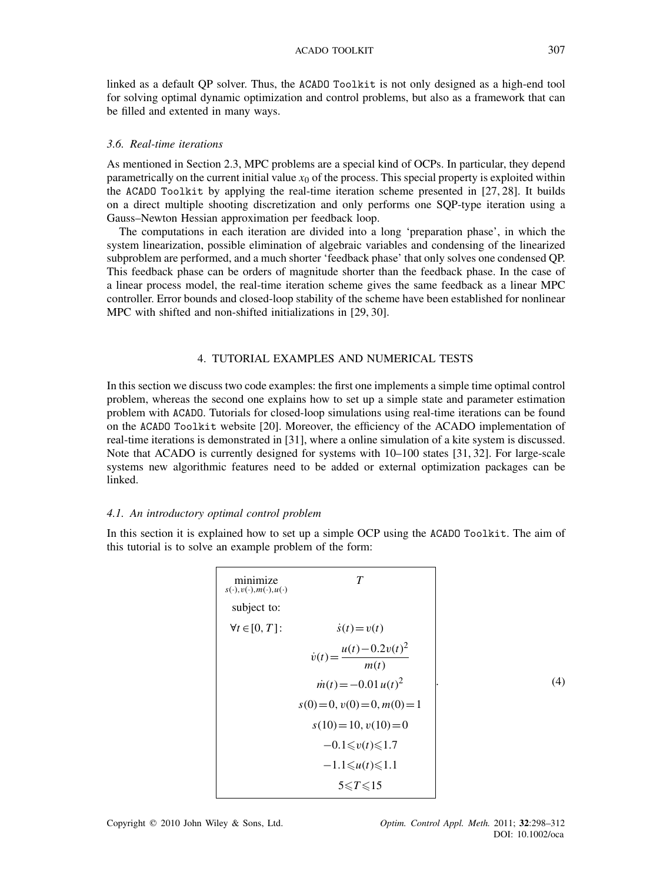linked as a default QP solver. Thus, the ACADO Toolkit is not only designed as a high-end tool for solving optimal dynamic optimization and control problems, but also as a framework that can be filled and extented in many ways.

# *3.6. Real-time iterations*

As mentioned in Section 2.3, MPC problems are a special kind of OCPs. In particular, they depend parametrically on the current initial value  $x_0$  of the process. This special property is exploited within the ACADO Toolkit by applying the real-time iteration scheme presented in [27, 28]. It builds on a direct multiple shooting discretization and only performs one SQP-type iteration using a Gauss–Newton Hessian approximation per feedback loop.

The computations in each iteration are divided into a long 'preparation phase', in which the system linearization, possible elimination of algebraic variables and condensing of the linearized subproblem are performed, and a much shorter 'feedback phase' that only solves one condensed QP. This feedback phase can be orders of magnitude shorter than the feedback phase. In the case of a linear process model, the real-time iteration scheme gives the same feedback as a linear MPC controller. Error bounds and closed-loop stability of the scheme have been established for nonlinear MPC with shifted and non-shifted initializations in [29, 30].

## 4. TUTORIAL EXAMPLES AND NUMERICAL TESTS

In this section we discuss two code examples: the first one implements a simple time optimal control problem, whereas the second one explains how to set up a simple state and parameter estimation problem with ACADO. Tutorials for closed-loop simulations using real-time iterations can be found on the ACADO Toolkit website [20]. Moreover, the efficiency of the ACADO implementation of real-time iterations is demonstrated in [31], where a online simulation of a kite system is discussed. Note that ACADO is currently designed for systems with 10–100 states [31, 32]. For large-scale systems new algorithmic features need to be added or external optimization packages can be linked.

#### *4.1. An introductory optimal control problem*

In this section it is explained how to set up a simple OCP using the ACADO Toolkit. The aim of this tutorial is to solve an example problem of the form:

| minimize                                                | T                                            |  |
|---------------------------------------------------------|----------------------------------------------|--|
| $s(\cdot), v(\cdot), m(\cdot), u(\cdot)$<br>subject to: |                                              |  |
|                                                         |                                              |  |
| $\forall t \in [0, T]$ :                                | $\dot{s}(t) = v(t)$                          |  |
|                                                         | $\dot{v}(t) = \frac{u(t) - 0.2v(t)^2}{m(t)}$ |  |
|                                                         | $\dot{m}(t) = -0.01 u(t)^2$                  |  |
|                                                         | $s(0)=0, v(0)=0, m(0)=1$                     |  |
|                                                         | $s(10)=10, v(10)=0$                          |  |
|                                                         | $-0.1 \leq v(t) \leq 1.7$                    |  |
|                                                         | $-1.1\leq u(t)\leq 1.1$                      |  |
|                                                         | $5 \le T \le 15$                             |  |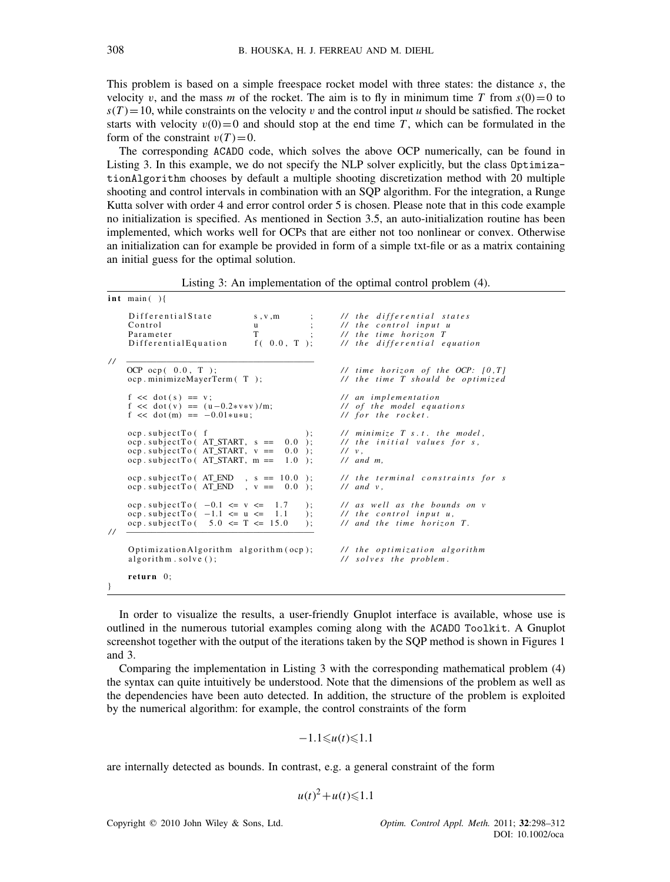This problem is based on a simple freespace rocket model with three states: the distance *s*, the velocity v, and the mass m of the rocket. The aim is to fly in minimum time T from  $s(0)=0$  to  $s(T) = 10$ , while constraints on the velocity v and the control input *u* should be satisfied. The rocket starts with velocity  $v(0)=0$  and should stop at the end time *T*, which can be formulated in the form of the constraint  $v(T)=0$ .

The corresponding ACADO code, which solves the above OCP numerically, can be found in Listing 3. In this example, we do not specify the NLP solver explicitly, but the class OptimizationAlgorithm chooses by default a multiple shooting discretization method with 20 multiple shooting and control intervals in combination with an SQP algorithm. For the integration, a Runge Kutta solver with order 4 and error control order 5 is chosen. Please note that in this code example no initialization is specified. As mentioned in Section 3.5, an auto-initialization routine has been implemented, which works well for OCPs that are either not too nonlinear or convex. Otherwise an initialization can for example be provided in form of a simple txt-file or as a matrix containing an initial guess for the optimal solution.

Listing 3: An implementation of the optimal control problem (4).

|               | $int$ main( $)$ {                                                                                                                                      |                                 |                     |           |                                                                                                                            |
|---------------|--------------------------------------------------------------------------------------------------------------------------------------------------------|---------------------------------|---------------------|-----------|----------------------------------------------------------------------------------------------------------------------------|
|               | DifferentialState<br>Control<br>Parameter<br>DifferentialEquation                                                                                      | s, v, m<br>u<br>T<br>f(0.0, T); |                     |           | // the differential states<br>// the control input u<br>$\frac{1}{1}$ the time horizon $T$<br>// the differential equation |
| $\frac{1}{2}$ | OCP $ocp(0.0, T)$ ;<br>ocp.minimizeMayerTerm(T);                                                                                                       |                                 |                     |           | // time horizon of the OCP: $[0, T]$<br>// the time T should be optimized                                                  |
|               | $f \leq dot(s) == v$ ;<br>$f \ll \text{dot}(v) = (u - 0.2 * v * v)/m$ ;<br>$f \ll \text{dot}(m) == -0.01*u*u;$                                         |                                 |                     |           | // an implementation<br>// of the model equations<br>// for the rocket.                                                    |
|               | ocp.subjectTo(f<br>$ocp$ . subject To (AT_START, s == 0.0);<br>$ocp$ . subject To (AT_START, $v == 0.0$ );<br>$ocp$ . subject To (AT_START, m == 1.0); |                                 | );                  | $1/\nu$ . | $\frac{1}{\pi}$ minimize T s.t. the model,<br>$\frac{1}{\sqrt{1}}$ the initial values for s,<br>$11$ and m.                |
|               | $ocp.subjectTo (AT_END , v == 0.0);$                                                                                                                   |                                 |                     |           | $ocp.subjectTo$ (AT_END , $s == 10.0$ ); // the terminal constraints for s<br>$11$ and $v$ .                               |
| $\frac{1}{2}$ | $ocp$ . subjectTo ( $-0.1 \leq v \leq 1.7$<br>ocp. subject To $(-1.1 \le u \le 1.1$<br>ocp. subjectTo $(5.0 \le T \le 15.0$                            |                                 | );<br>$\mathcal{C}$ |           | // as well as the bounds on v<br>$\frac{1}{\sqrt{1}}$ the control input $u$ ,<br>$\frac{1}{2}$ and the time horizon T.     |
|               | OptimizationAlgorithm algorithm (ocp);<br>$algorithm$ . solve $()$ ;                                                                                   |                                 |                     |           | // the optimization algorithm<br>// solves the problem.                                                                    |
|               | $return 0$ ;                                                                                                                                           |                                 |                     |           |                                                                                                                            |

In order to visualize the results, a user-friendly Gnuplot interface is available, whose use is outlined in the numerous tutorial examples coming along with the ACADO Toolkit. A Gnuplot screenshot together with the output of the iterations taken by the SQP method is shown in Figures 1 and 3.

Comparing the implementation in Listing 3 with the corresponding mathematical problem (4) the syntax can quite intuitively be understood. Note that the dimensions of the problem as well as the dependencies have been auto detected. In addition, the structure of the problem is exploited by the numerical algorithm: for example, the control constraints of the form

$$
-1.1 \leq u(t) \leq 1.1
$$

are internally detected as bounds. In contrast, e.g. a general constraint of the form

$$
u(t)^2 + u(t) \leq 1.1
$$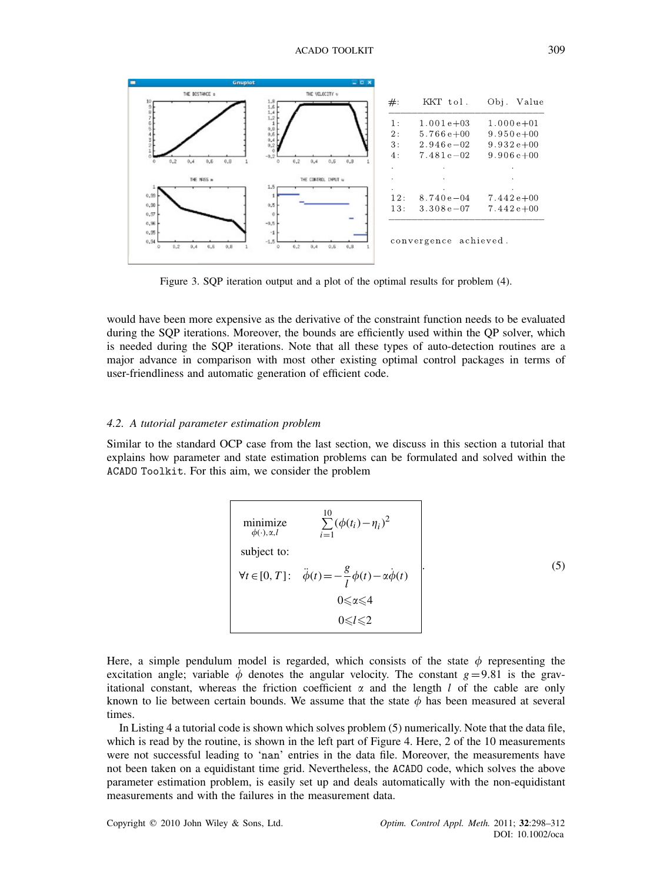

Figure 3. SQP iteration output and a plot of the optimal results for problem (4).

would have been more expensive as the derivative of the constraint function needs to be evaluated during the SQP iterations. Moreover, the bounds are efficiently used within the QP solver, which is needed during the SQP iterations. Note that all these types of auto-detection routines are a major advance in comparison with most other existing optimal control packages in terms of user-friendliness and automatic generation of efficient code.

# *4.2. A tutorial parameter estimation problem*

Similar to the standard OCP case from the last section, we discuss in this section a tutorial that explains how parameter and state estimation problems can be formulated and solved within the ACADO Toolkit. For this aim, we consider the problem

$$
\begin{array}{ll}\n\text{minimize} & \frac{10}{\phi(\cdot), \alpha, l} \\
\text{subject to:} \\
\forall t \in [0, T]: & \ddot{\phi}(t) = -\frac{g}{l} \phi(t) - \alpha \dot{\phi}(t) \\
0 \le \alpha \le 4 \\
0 \le l \le 2\n\end{array} \tag{5}
$$

Here, a simple pendulum model is regarded, which consists of the state  $\phi$  representing the excitation angle; variable  $\phi$  denotes the angular velocity. The constant  $g=9.81$  is the gravitational constant, whereas the friction coefficient  $\alpha$  and the length *l* of the cable are only known to lie between certain bounds. We assume that the state  $\phi$  has been measured at several times.

In Listing 4 a tutorial code is shown which solves problem (5) numerically. Note that the data file, which is read by the routine, is shown in the left part of Figure 4. Here, 2 of the 10 measurements were not successful leading to 'nan' entries in the data file. Moreover, the measurements have not been taken on a equidistant time grid. Nevertheless, the ACADO code, which solves the above parameter estimation problem, is easily set up and deals automatically with the non-equidistant measurements and with the failures in the measurement data.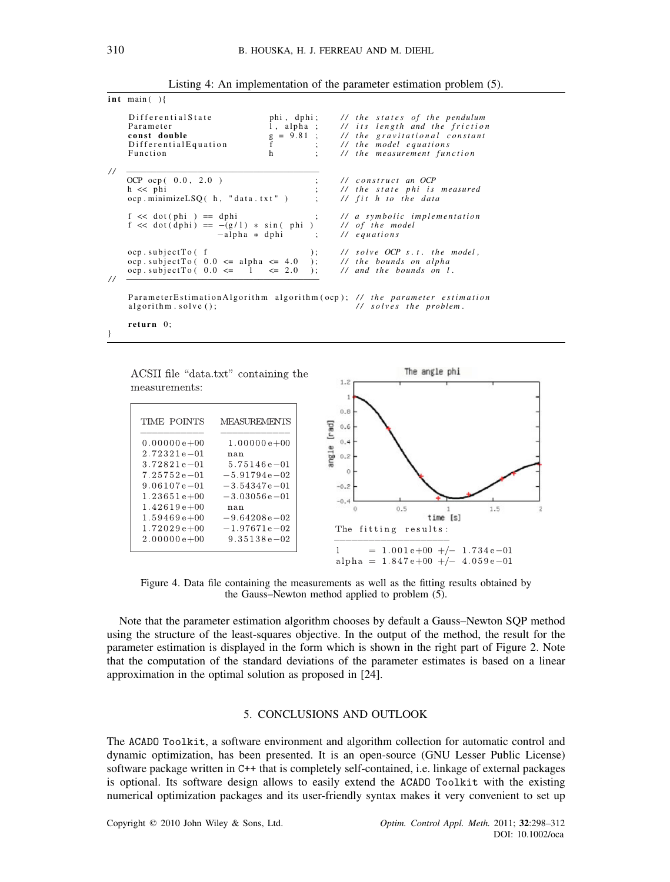**int** main ( ){ DifferentialState phi, dphi; *// the states of the pendulum*<br>Parameter 1, alpha; *// its length and the friction* Parameter 1, alpha ; // its length and the friction<br>
const double<br>
DifferentialEquation f : // the model equations **const double** g = 9.81 ; *// the gravitational constant* DifferentialEquation f ; *// the model equations* Function h ; *// the measurement function //*  $\overline{OCP \text{ ocp}(-0.0, 2.0)}$  ; OCP ocp ( 0 . 0 , 2 . 0 ) ; */ / c o n s t r u c t an OCP* h << phi ; *// the state phi is measured* ocp.minimizeLSQ(h, "data.txt") ; // fit h to the data f  $\ll$  dot(phi) == dphi ; // a symbolic implementation<br>f  $\ll$  dot(dphi) ==  $-(g/l) * \sin($  phi) // of the model  $f \ll \text{dot}(\text{dphi}) = -\frac{g}{1} + \sin(\text{phi})$  // of the model  $-\text{alpha} * \text{dphi}$  ,  $\frac{f}{f}$  equations −alpha ∗ dphi ; *// equations* ocp. subjectTo ( f  $\rho$  ); // solve OCP s.t. the model, ocp. subjectTo (  $0.0 \le$  alpha  $\le$  4.0 ); // the bounds on alpha ocp . subject To  $( 0.0 \leq a)$  alpha  $\leq 4.0$  );<br>ocp . subject To  $( 0.0 \leq a)$   $( 1 \leq a)$   $( 0.0 \leq a)$ // and the bounds on l. */ /* −−−−−−−−−−−−−−−−−−−−−−−−−−−−−−−−−−−−−− ParameterEstimationAlgorithm algorithm ( ocp ); *// the parameter estimation* // solves the problem. return 0: }

Listing 4: An implementation of the parameter estimation problem (5).

ACSII file "data.txt" containing the measurements:

| TIME POINTS     | <b>MEASUREMENTS</b> | 0.8<br>ē<br>0.6                     |
|-----------------|---------------------|-------------------------------------|
| $0.00000e + 00$ | $1.00000e + 00$     | 0.4                                 |
| $2.72321e - 01$ | nan                 | 0.2                                 |
| $3.72821e - 01$ | $5.75146e - 01$     | ang 1                               |
| $7.25752e - 01$ | $-5.91794e - 02$    | Ō                                   |
| $9.06107e - 01$ | $-3.54347e - 01$    | $-0.2$                              |
| $1.23651e+00$   | $-3.03056e - 01$    | $-0.4$                              |
| $1.42619e+00$   | nan                 | 0.5<br>1.5                          |
| $1.59469e+00$   | $-9.64208e - 02$    | time [s]                            |
| $1.72029e+00$   | $-1.97671e - 02$    | The fitting results:                |
| $2.00000e + 00$ | $9.35138e - 02$     |                                     |
|                 |                     | $= 1.001e+00$ +/- 1.734e-01         |
|                 |                     | alpha = $1.847e+00$ +/- $4.059e-01$ |

 $1.2 \Gamma$ 

The angle phi

Figure 4. Data file containing the measurements as well as the fitting results obtained by the Gauss–Newton method applied to problem (5).

Note that the parameter estimation algorithm chooses by default a Gauss–Newton SQP method using the structure of the least-squares objective. In the output of the method, the result for the parameter estimation is displayed in the form which is shown in the right part of Figure 2. Note that the computation of the standard deviations of the parameter estimates is based on a linear approximation in the optimal solution as proposed in [24].

### 5. CONCLUSIONS AND OUTLOOK

The ACADO Toolkit, a software environment and algorithm collection for automatic control and dynamic optimization, has been presented. It is an open-source (GNU Lesser Public License) software package written in C++ that is completely self-contained, i.e. linkage of external packages is optional. Its software design allows to easily extend the ACADO Toolkit with the existing numerical optimization packages and its user-friendly syntax makes it very convenient to set up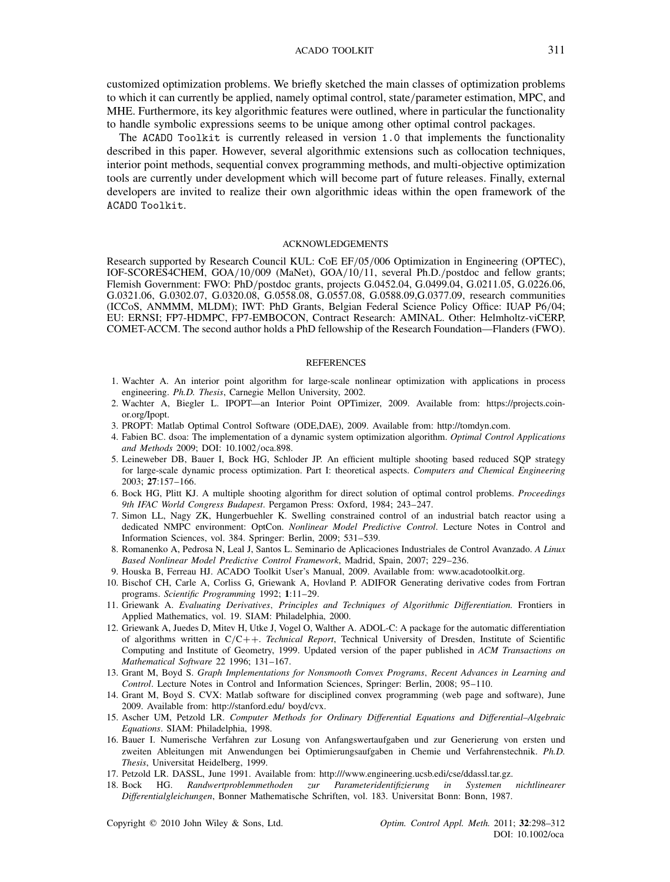# ACADO TOOLKIT 311

customized optimization problems. We briefly sketched the main classes of optimization problems to which it can currently be applied, namely optimal control, state/parameter estimation, MPC, and MHE. Furthermore, its key algorithmic features were outlined, where in particular the functionality to handle symbolic expressions seems to be unique among other optimal control packages.

The ACADO Toolkit is currently released in version 1.0 that implements the functionality described in this paper. However, several algorithmic extensions such as collocation techniques, interior point methods, sequential convex programming methods, and multi-objective optimization tools are currently under development which will become part of future releases. Finally, external developers are invited to realize their own algorithmic ideas within the open framework of the ACADO Toolkit.

## ACKNOWLEDGEMENTS

Research supported by Research Council KUL: CoE EF/05/006 Optimization in Engineering (OPTEC), IOF-SCORES4CHEM, GOA/10/009 (MaNet), GOA/10/11, several Ph.D./postdoc and fellow grants; Flemish Government: FWO: PhD/postdoc grants, projects G.0452.04, G.0499.04, G.0211.05, G.0226.06, G.0321.06, G.0302.07, G.0320.08, G.0558.08, G.0557.08, G.0588.09,G.0377.09, research communities (ICCoS, ANMMM, MLDM); IWT: PhD Grants, Belgian Federal Science Policy Office: IUAP P6/04; EU: ERNSI; FP7-HDMPC, FP7-EMBOCON, Contract Research: AMINAL. Other: Helmholtz-viCERP, COMET-ACCM. The second author holds a PhD fellowship of the Research Foundation—Flanders (FWO).

#### **REFERENCES**

- 1. Wachter A. An interior point algorithm for large-scale nonlinear optimization with applications in process engineering. *Ph.D. Thesis*, Carnegie Mellon University, 2002.
- 2. Wachter A, Biegler L. IPOPT—an Interior Point OPTimizer, 2009. Available from: https://projects.coinor.org/Ipopt.
- 3. PROPT: Matlab Optimal Control Software (ODE,DAE), 2009. Available from: http://tomdyn.com.
- 4. Fabien BC. dsoa: The implementation of a dynamic system optimization algorithm. *Optimal Control Applications and Methods* 2009; DOI: 10.1002/oca.898.
- 5. Leineweber DB, Bauer I, Bock HG, Schloder JP. An efficient multiple shooting based reduced SQP strategy for large-scale dynamic process optimization. Part I: theoretical aspects. *Computers and Chemical Engineering* 2003; **27**:157–166.
- 6. Bock HG, Plitt KJ. A multiple shooting algorithm for direct solution of optimal control problems. *Proceedings 9th IFAC World Congress Budapest*. Pergamon Press: Oxford, 1984; 243–247.
- 7. Simon LL, Nagy ZK, Hungerbuehler K. Swelling constrained control of an industrial batch reactor using a dedicated NMPC environment: OptCon. *Nonlinear Model Predictive Control*. Lecture Notes in Control and Information Sciences, vol. 384. Springer: Berlin, 2009; 531–539.
- 8. Romanenko A, Pedrosa N, Leal J, Santos L. Seminario de Aplicaciones Industriales de Control Avanzado. *A Linux Based Nonlinear Model Predictive Control Framework*, Madrid, Spain, 2007; 229–236.
- 9. Houska B, Ferreau HJ. ACADO Toolkit User's Manual, 2009. Available from: www.acadotoolkit.org.
- 10. Bischof CH, Carle A, Corliss G, Griewank A, Hovland P. ADIFOR Generating derivative codes from Fortran programs. *Scientific Programming* 1992; **1**:11–29.
- 11. Griewank A. *Evaluating Derivatives*, *Principles and Techniques of Algorithmic Differentiation.* Frontiers in Applied Mathematics, vol. 19. SIAM: Philadelphia, 2000.
- 12. Griewank A, Juedes D, Mitev H, Utke J, Vogel O, Walther A. ADOL-C: A package for the automatic differentiation of algorithms written in C/C++. *Technical Report*, Technical University of Dresden, Institute of Scientific Computing and Institute of Geometry, 1999. Updated version of the paper published in *ACM Transactions on Mathematical Software* 22 1996; 131–167.
- 13. Grant M, Boyd S. *Graph Implementations for Nonsmooth Convex Programs*, *Recent Advances in Learning and Control*. Lecture Notes in Control and Information Sciences, Springer: Berlin, 2008; 95–110.
- 14. Grant M, Boyd S. CVX: Matlab software for disciplined convex programming (web page and software), June 2009. Available from: http://stanford.edu/ boyd/cvx.
- 15. Ascher UM, Petzold LR. *Computer Methods for Ordinary Differential Equations and Differential–Algebraic Equations*. SIAM: Philadelphia, 1998.
- 16. Bauer I. Numerische Verfahren zur Losung von Anfangswertaufgaben und zur Generierung von ersten und zweiten Ableitungen mit Anwendungen bei Optimierungsaufgaben in Chemie und Verfahrenstechnik. *Ph.D. Thesis*, Universitat Heidelberg, 1999.
- 17. Petzold LR. DASSL, June 1991. Available from: http:///www.engineering.ucsb.edi/cse/ddassl.tar.gz.
- 18. Bock HG. *Randwertproblemmethoden zur Parameteridentifizierung in Systemen nichtlinearer Differentialgleichungen*, Bonner Mathematische Schriften, vol. 183. Universitat Bonn: Bonn, 1987.